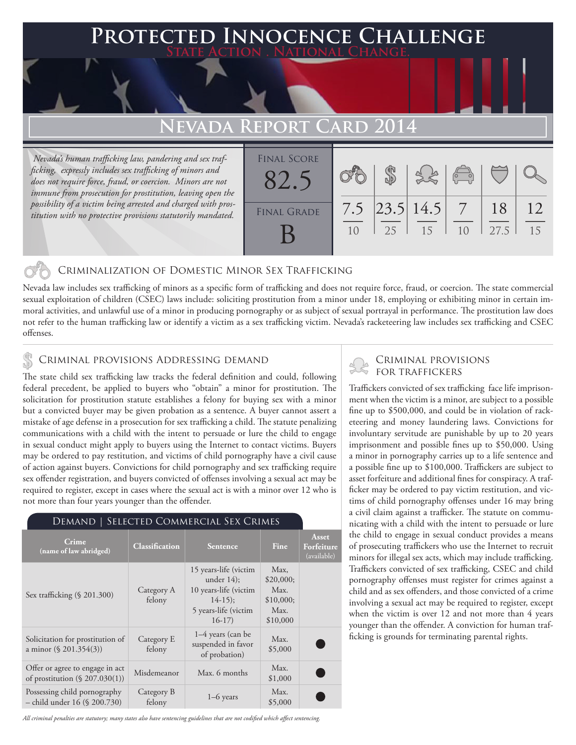## **PTED INNOCENCE CHALLENGE State Action . National Change.**

# **Nevada Report Card 2014**

 *Nevada's human trafficking law, pandering and sex trafficking, expressly includes sex trafficking of minors and does not require force, fraud, or coercion. Minors are not immune from prosecution for prostitution, leaving open the possibility of a victim being arrested and charged with prostitution with no protective provisions statutorily mandated.*

| <b>FINAL SCORE</b> |     |    |                  | $\begin{pmatrix} 0 & 0 \\ 0 & 0 \end{pmatrix}$ |            |    |
|--------------------|-----|----|------------------|------------------------------------------------|------------|----|
| <b>FINAL GRADE</b> | 7.5 | 25 | 23.5 14.5 <br>15 | 1 <sub>0</sub>                                 | 18<br>27.5 | 15 |

#### Criminalization of Domestic Minor Sex Trafficking

Nevada law includes sex trafficking of minors as a specific form of trafficking and does not require force, fraud, or coercion. The state commercial sexual exploitation of children (CSEC) laws include: soliciting prostitution from a minor under 18, employing or exhibiting minor in certain immoral activities, and unlawful use of a minor in producing pornography or as subject of sexual portrayal in performance. The prostitution law does not refer to the human trafficking law or identify a victim as a sex trafficking victim. Nevada's racketeering law includes sex trafficking and CSEC offenses.

# CRIMINAL PROVISIONS ADDRESSING DEMAND<br>The state shild sox trafficking by tracks the federal definition and sould following FOR TRAFFICKERS

The state child sex trafficking law tracks the federal definition and could, following federal precedent, be applied to buyers who "obtain" a minor for prostitution. The solicitation for prostitution statute establishes a felony for buying sex with a minor but a convicted buyer may be given probation as a sentence. A buyer cannot assert a mistake of age defense in a prosecution for sex trafficking a child. The statute penalizing communications with a child with the intent to persuade or lure the child to engage in sexual conduct might apply to buyers using the Internet to contact victims. Buyers may be ordered to pay restitution, and victims of child pornography have a civil cause of action against buyers. Convictions for child pornography and sex trafficking require sex offender registration, and buyers convicted of offenses involving a sexual act may be required to register, except in cases where the sexual act is with a minor over 12 who is not more than four years younger than the offender.

| Demand   Selected Commercial Sex Crimes                              |                       |                                                                                                                |                                                            |                                           |  |
|----------------------------------------------------------------------|-----------------------|----------------------------------------------------------------------------------------------------------------|------------------------------------------------------------|-------------------------------------------|--|
| Crime<br>(name of law abridged)                                      | <b>Classification</b> | <b>Sentence</b>                                                                                                | Fine                                                       | Asset<br><b>Forfeiture</b><br>(available) |  |
| Sex trafficking (§ 201.300)                                          | Category A<br>felony  | 15 years-life (victim<br>under $14$ ;<br>10 years-life (victim<br>$14-15$ ;<br>5 years-life (victim<br>$16-17$ | Max,<br>\$20,000;<br>Max.<br>\$10,000;<br>Max.<br>\$10,000 |                                           |  |
| Solicitation for prostitution of<br>a minor $(\S$ 201.354(3))        | Category E<br>felony  | $1-4$ years (can be<br>suspended in favor<br>of probation)                                                     | Max.<br>\$5,000                                            |                                           |  |
| Offer or agree to engage in act<br>of prostitution $(\S 207.030(1))$ | Misdemeanor           | Max. 6 months                                                                                                  | Max.<br>\$1,000                                            |                                           |  |
| Possessing child pornography<br>- child under 16 (§ 200.730)         | Category B<br>felony  | $1-6$ years                                                                                                    | Max.<br>\$5,000                                            |                                           |  |

### Demand | Selected Commercial Sex Crimes

Traffickers convicted of sex trafficking face life imprisonment when the victim is a minor, are subject to a possible fine up to \$500,000, and could be in violation of racketeering and money laundering laws. Convictions for involuntary servitude are punishable by up to 20 years imprisonment and possible fines up to \$50,000. Using a minor in pornography carries up to a life sentence and a possible fine up to \$100,000. Traffickers are subject to asset forfeiture and additional fines for conspiracy. A trafficker may be ordered to pay victim restitution, and victims of child pornography offenses under 16 may bring a civil claim against a trafficker. The statute on communicating with a child with the intent to persuade or lure the child to engage in sexual conduct provides a means of prosecuting traffickers who use the Internet to recruit minors for illegal sex acts, which may include trafficking. Traffickers convicted of sex trafficking, CSEC and child pornography offenses must register for crimes against a child and as sex offenders, and those convicted of a crime involving a sexual act may be required to register, except when the victim is over 12 and not more than 4 years younger than the offender. A conviction for human trafficking is grounds for terminating parental rights.

*All criminal penalties are statutory; many states also have sentencing guidelines that are not codified which affect sentencing.*